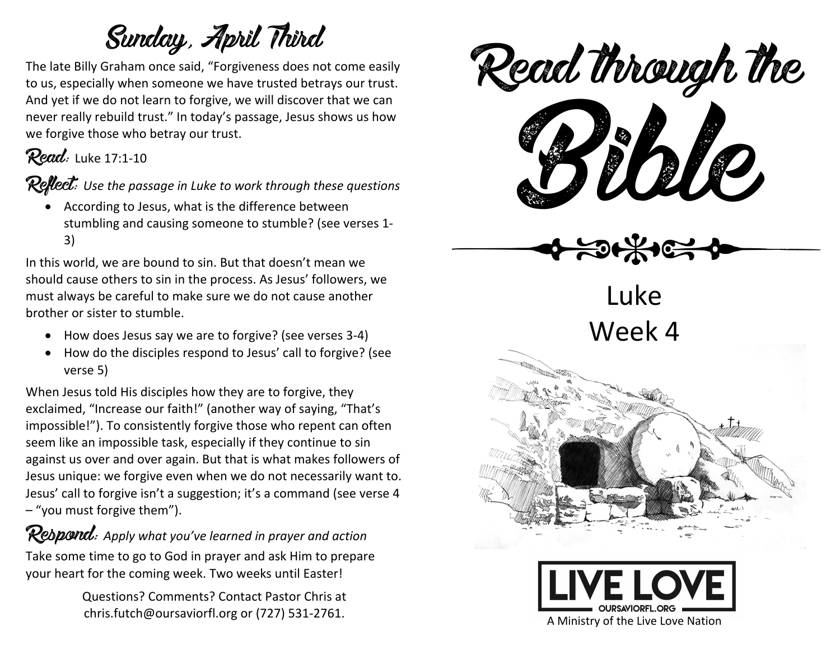## Sunday, April Third

The late Billy Graham once said, "Forgiveness does not come easily to us, especially when someone we have trusted betrays our trust. And yet if we do not learn to forgive, we will discover that we can never really rebuild trust." In today's passage, Jesus shows us how we forgive those who betray our trust.

### Read: Luke 17:1-10

Reflect: *Use the passage in Luke to work through these questions*

• According to Jesus, what is the difference between stumbling and causing someone to stumble? (see verses 1- 3)

In this world, we are bound to sin. But that doesn't mean we should cause others to sin in the process. As Jesus' followers, we must always be careful to make sure we do not cause another brother or sister to stumble.

- How does Jesus say we are to forgive? (see verses 3-4)
- How do the disciples respond to Jesus' call to forgive? (see verse 5)

When Jesus told His disciples how they are to forgive, they exclaimed, "Increase our faith!" (another way of saying, "That's impossible!"). To consistently forgive those who repent can often seem like an impossible task, especially if they continue to sin against us over and over again. But that is what makes followers of Jesus unique: we forgive even when we do not necessarily want to. Jesus' call to forgive isn't a suggestion; it's a command (see verse 4 – "you must forgive them").

#### **Respond:** Apply what you've learned in prayer and action

Take some time to go to God in prayer and ask Him to prepare your heart for the coming week. Two weeks until Easter!

> Questions? Comments? Contact Pastor Chris at chris.futch@oursaviorfl.org or (727) 531-2761.



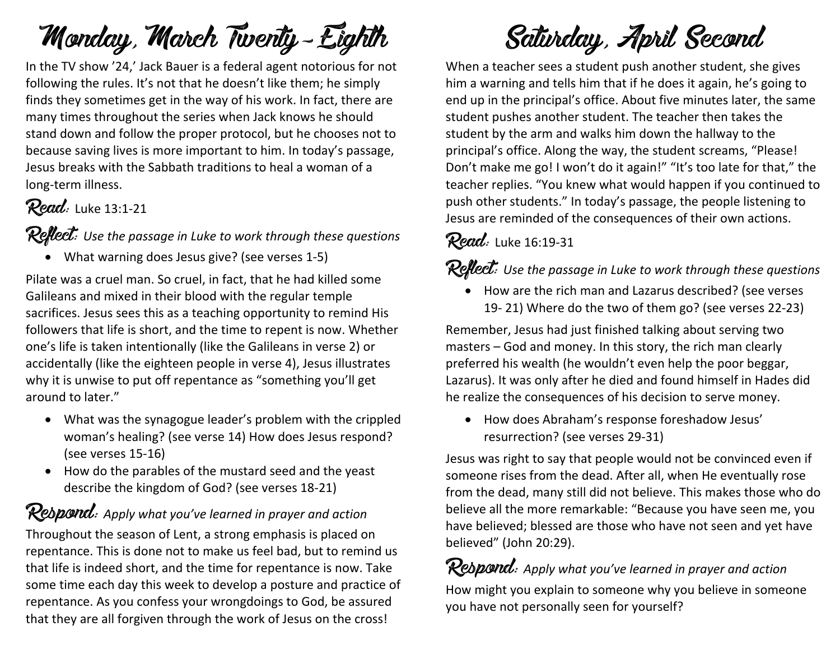## Monday, March Twenty-Eighth

In the TV show '24,' Jack Bauer is a federal agent notorious for not following the rules. It's not that he doesn't like them; he simply finds they sometimes get in the way of his work. In fact, there are many times throughout the series when Jack knows he should stand down and follow the proper protocol, but he chooses not to because saving lives is more important to him. In today's passage, Jesus breaks with the Sabbath traditions to heal a woman of a long-term illness.

#### Read: Luke 13:1-21

#### Reflect: *Use the passage in Luke to work through these questions*

• What warning does Jesus give? (see verses 1-5)

Pilate was a cruel man. So cruel, in fact, that he had killed some Galileans and mixed in their blood with the regular temple sacrifices. Jesus sees this as a teaching opportunity to remind His followers that life is short, and the time to repent is now. Whether one's life is taken intentionally (like the Galileans in verse 2) or accidentally (like the eighteen people in verse 4), Jesus illustrates why it is unwise to put off repentance as "something you'll get around to later."

- What was the synagogue leader's problem with the crippled woman's healing? (see verse 14) How does Jesus respond? (see verses 15-16)
- How do the parables of the mustard seed and the yeast describe the kingdom of God? (see verses 18-21)

Respond: *Apply what you've learned in prayer and action* Throughout the season of Lent, a strong emphasis is placed on repentance. This is done not to make us feel bad, but to remind us that life is indeed short, and the time for repentance is now. Take

some time each day this week to develop a posture and practice of repentance. As you confess your wrongdoings to God, be assured that they are all forgiven through the work of Jesus on the cross!

## Saturday, April Second

When a teacher sees a student push another student, she gives him a warning and tells him that if he does it again, he's going to end up in the principal's office. About five minutes later, the same student pushes another student. The teacher then takes the student by the arm and walks him down the hallway to the principal's office. Along the way, the student screams, "Please! Don't make me go! I won't do it again!" "It's too late for that," the teacher replies. "You knew what would happen if you continued to push other students." In today's passage, the people listening to Jesus are reminded of the consequences of their own actions.

### Read: Luke 16:19-31

#### **Reflect:** Use the passage in Luke to work through these questions

• How are the rich man and Lazarus described? (see verses 19- 21) Where do the two of them go? (see verses 22-23)

Remember, Jesus had just finished talking about serving two masters – God and money. In this story, the rich man clearly preferred his wealth (he wouldn't even help the poor beggar, Lazarus). It was only after he died and found himself in Hades did he realize the consequences of his decision to serve money.

• How does Abraham's response foreshadow Jesus' resurrection? (see verses 29-31)

Jesus was right to say that people would not be convinced even if someone rises from the dead. After all, when He eventually rose from the dead, many still did not believe. This makes those who do believe all the more remarkable: "Because you have seen me, you have believed; blessed are those who have not seen and yet have believed" (John 20:29).

Rebpond: Apply what you've learned in prayer and action How might you explain to someone why you believe in someone you have not personally seen for yourself?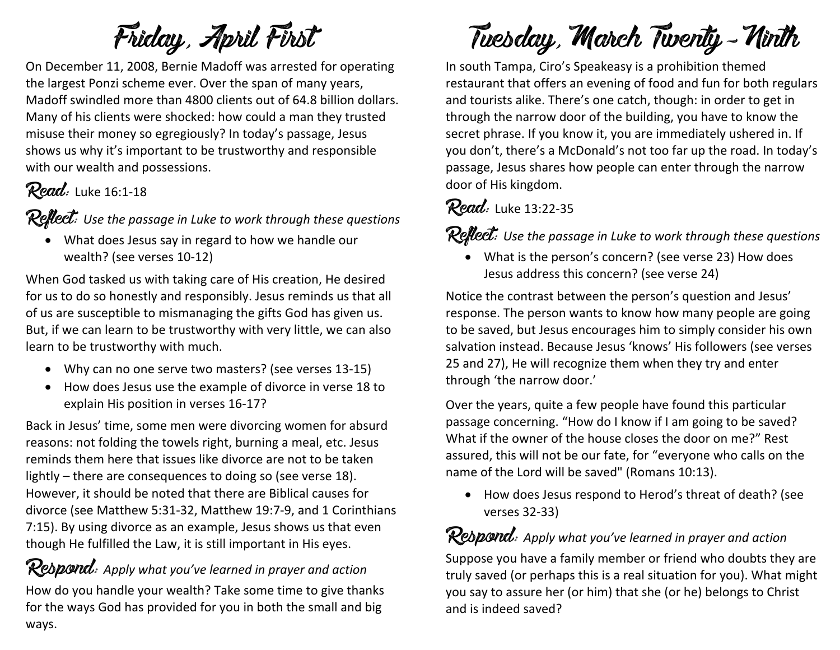## Friday, April First

On December 11, 2008, Bernie Madoff was arrested for operating the largest Ponzi scheme ever. Over the span of many years, Madoff swindled more than 4800 clients out of 64.8 billion dollars. Many of his clients were shocked: how could a man they trusted misuse their money so egregiously? In today's passage, Jesus shows us why it's important to be trustworthy and responsible with our wealth and possessions.

### Read: Luke 16:1-18

Reflect: Use the passage in Luke to work through these questions

• What does Jesus say in regard to how we handle our wealth? (see verses 10-12)

When God tasked us with taking care of His creation, He desired for us to do so honestly and responsibly. Jesus reminds us that all of us are susceptible to mismanaging the gifts God has given us. But, if we can learn to be trustworthy with very little, we can also learn to be trustworthy with much.

- Why can no one serve two masters? (see verses 13-15)
- How does Jesus use the example of divorce in verse 18 to explain His position in verses 16-17?

Back in Jesus' time, some men were divorcing women for absurd reasons: not folding the towels right, burning a meal, etc. Jesus reminds them here that issues like divorce are not to be taken lightly – there are consequences to doing so (see verse 18). However, it should be noted that there are Biblical causes for divorce (see Matthew 5:31-32, Matthew 19:7-9, and 1 Corinthians 7:15). By using divorce as an example, Jesus shows us that even though He fulfilled the Law, it is still important in His eyes.

**Respond:** Apply what you've learned in prayer and action How do you handle your wealth? Take some time to give thanks for the ways God has provided for you in both the small and big ways.

# Tuesday, March Twenty-Ninth

In south Tampa, Ciro's Speakeasy is a prohibition themed restaurant that offers an evening of food and fun for both regulars and tourists alike. There's one catch, though: in order to get in through the narrow door of the building, you have to know the secret phrase. If you know it, you are immediately ushered in. If you don't, there's a McDonald's not too far up the road. In today's passage, Jesus shares how people can enter through the narrow door of His kingdom.

### Read: Luke 13:22-35

Reflect: *Use the passage in Luke to work through these questions*

• What is the person's concern? (see verse 23) How does Jesus address this concern? (see verse 24)

Notice the contrast between the person's question and Jesus' response. The person wants to know how many people are going to be saved, but Jesus encourages him to simply consider his own salvation instead. Because Jesus 'knows' His followers (see verses 25 and 27), He will recognize them when they try and enter through 'the narrow door.'

Over the years, quite a few people have found this particular passage concerning. "How do I know if I am going to be saved? What if the owner of the house closes the door on me?" Rest assured, this will not be our fate, for "everyone who calls on the name of the Lord will be saved" (Romans 10:13).

• How does Jesus respond to Herod's threat of death? (see verses 32-33)

### **Respond:** Apply what you've learned in prayer and action

Suppose you have a family member or friend who doubts they are truly saved (or perhaps this is a real situation for you). What might you say to assure her (or him) that she (or he) belongs to Christ and is indeed saved?